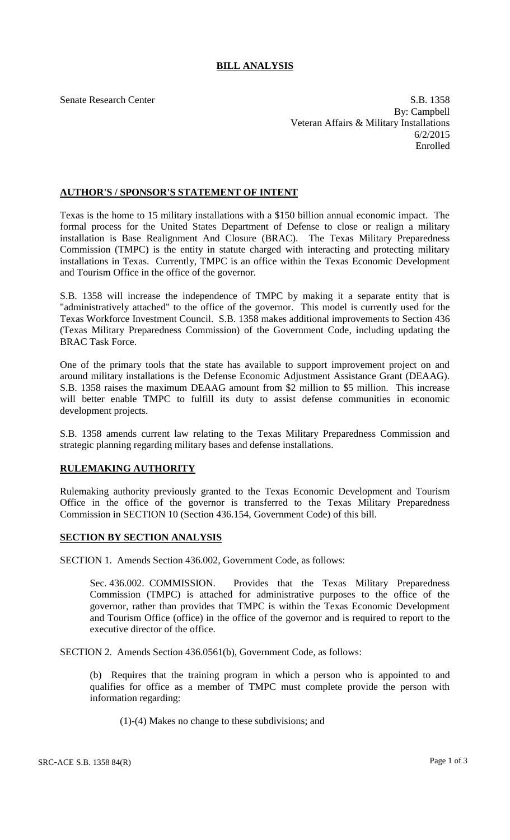## **BILL ANALYSIS**

Senate Research Center S.B. 1358 By: Campbell Veteran Affairs & Military Installations 6/2/2015 Enrolled

## **AUTHOR'S / SPONSOR'S STATEMENT OF INTENT**

Texas is the home to 15 military installations with a \$150 billion annual economic impact. The formal process for the United States Department of Defense to close or realign a military installation is Base Realignment And Closure (BRAC). The Texas Military Preparedness Commission (TMPC) is the entity in statute charged with interacting and protecting military installations in Texas. Currently, TMPC is an office within the Texas Economic Development and Tourism Office in the office of the governor.

S.B. 1358 will increase the independence of TMPC by making it a separate entity that is "administratively attached" to the office of the governor. This model is currently used for the Texas Workforce Investment Council. S.B. 1358 makes additional improvements to Section 436 (Texas Military Preparedness Commission) of the Government Code, including updating the BRAC Task Force.

One of the primary tools that the state has available to support improvement project on and around military installations is the Defense Economic Adjustment Assistance Grant (DEAAG). S.B. 1358 raises the maximum DEAAG amount from \$2 million to \$5 million. This increase will better enable TMPC to fulfill its duty to assist defense communities in economic development projects.

S.B. 1358 amends current law relating to the Texas Military Preparedness Commission and strategic planning regarding military bases and defense installations.

## **RULEMAKING AUTHORITY**

Rulemaking authority previously granted to the Texas Economic Development and Tourism Office in the office of the governor is transferred to the Texas Military Preparedness Commission in SECTION 10 (Section 436.154, Government Code) of this bill.

## **SECTION BY SECTION ANALYSIS**

SECTION 1. Amends Section 436.002, Government Code, as follows:

Sec. 436.002. COMMISSION. Provides that the Texas Military Preparedness Commission (TMPC) is attached for administrative purposes to the office of the governor, rather than provides that TMPC is within the Texas Economic Development and Tourism Office (office) in the office of the governor and is required to report to the executive director of the office.

SECTION 2. Amends Section 436.0561(b), Government Code, as follows:

(b) Requires that the training program in which a person who is appointed to and qualifies for office as a member of TMPC must complete provide the person with information regarding:

(1)-(4) Makes no change to these subdivisions; and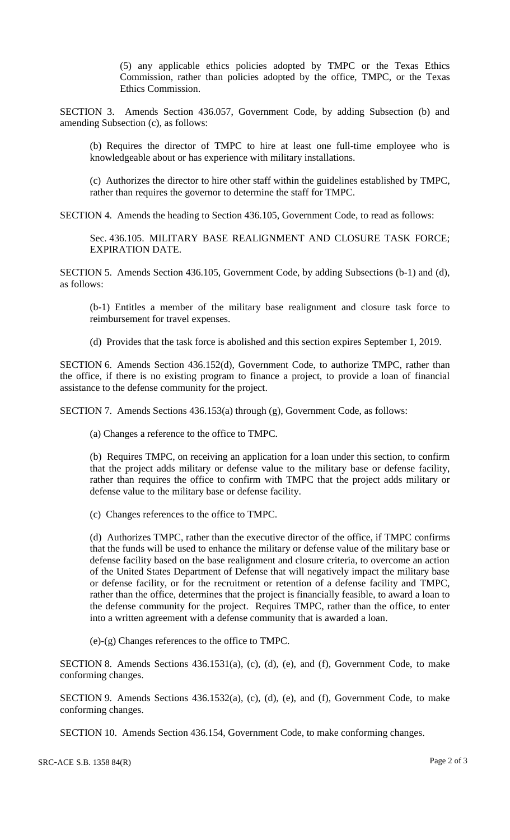(5) any applicable ethics policies adopted by TMPC or the Texas Ethics Commission, rather than policies adopted by the office, TMPC, or the Texas Ethics Commission.

SECTION 3. Amends Section 436.057, Government Code, by adding Subsection (b) and amending Subsection (c), as follows:

(b) Requires the director of TMPC to hire at least one full-time employee who is knowledgeable about or has experience with military installations.

(c) Authorizes the director to hire other staff within the guidelines established by TMPC, rather than requires the governor to determine the staff for TMPC.

SECTION 4. Amends the heading to Section 436.105, Government Code, to read as follows:

Sec. 436.105. MILITARY BASE REALIGNMENT AND CLOSURE TASK FORCE; EXPIRATION DATE.

SECTION 5. Amends Section 436.105, Government Code, by adding Subsections (b-1) and (d), as follows:

(b-1) Entitles a member of the military base realignment and closure task force to reimbursement for travel expenses.

(d) Provides that the task force is abolished and this section expires September 1, 2019.

SECTION 6. Amends Section 436.152(d), Government Code, to authorize TMPC, rather than the office, if there is no existing program to finance a project, to provide a loan of financial assistance to the defense community for the project.

SECTION 7. Amends Sections 436.153(a) through (g), Government Code, as follows:

(a) Changes a reference to the office to TMPC.

(b) Requires TMPC, on receiving an application for a loan under this section, to confirm that the project adds military or defense value to the military base or defense facility, rather than requires the office to confirm with TMPC that the project adds military or defense value to the military base or defense facility.

(c) Changes references to the office to TMPC.

(d) Authorizes TMPC, rather than the executive director of the office, if TMPC confirms that the funds will be used to enhance the military or defense value of the military base or defense facility based on the base realignment and closure criteria, to overcome an action of the United States Department of Defense that will negatively impact the military base or defense facility, or for the recruitment or retention of a defense facility and TMPC, rather than the office, determines that the project is financially feasible, to award a loan to the defense community for the project. Requires TMPC, rather than the office, to enter into a written agreement with a defense community that is awarded a loan.

(e)-(g) Changes references to the office to TMPC.

SECTION 8. Amends Sections 436.1531(a), (c), (d), (e), and (f), Government Code, to make conforming changes.

SECTION 9. Amends Sections 436.1532(a), (c), (d), (e), and (f), Government Code, to make conforming changes.

SECTION 10. Amends Section 436.154, Government Code, to make conforming changes.